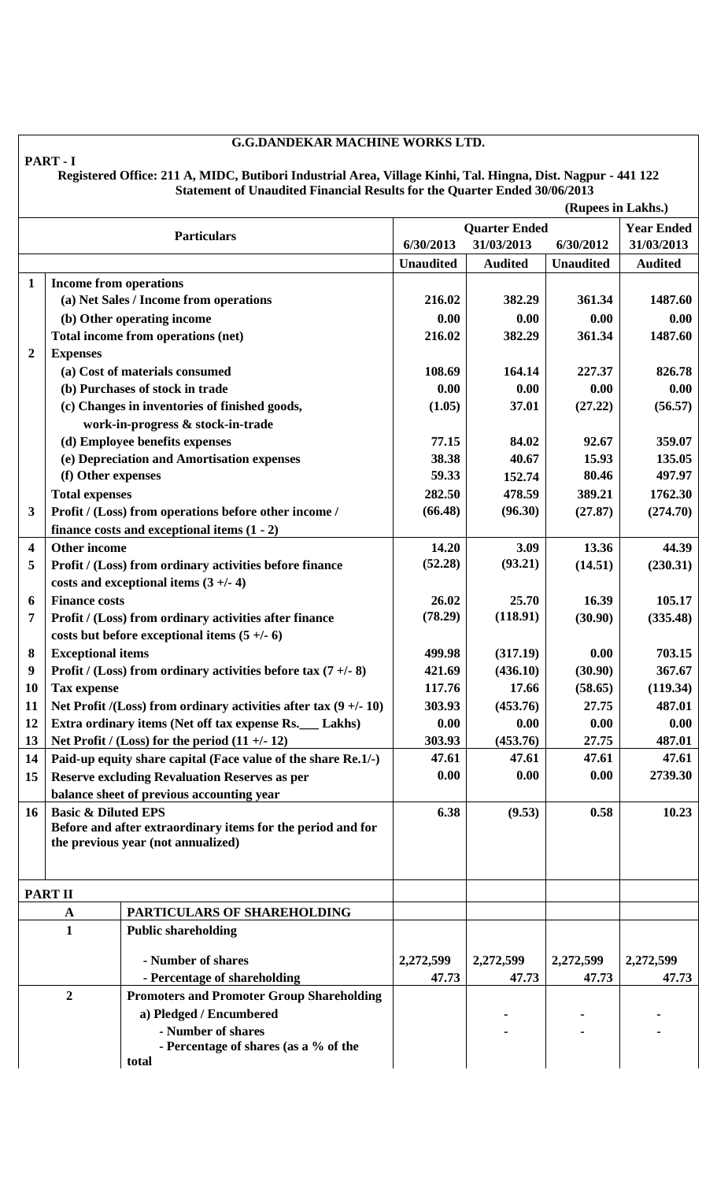## **G.G.DANDEKAR MACHINE WORKS LTD.**

## **Registered Office: 211 A, MIDC, Butibori Industrial Area, Village Kinhi, Tal. Hingna, Dist. Nagpur - 441 122 Statement of Unaudited Financial Results for the Quarter Ended 30/06/2013**

|                         | (Rupees in Lakhs.)             |                                                                    |                                           |                |                  |                  |  |
|-------------------------|--------------------------------|--------------------------------------------------------------------|-------------------------------------------|----------------|------------------|------------------|--|
| <b>Particulars</b>      |                                |                                                                    | <b>Quarter Ended</b><br><b>Year Ended</b> |                |                  |                  |  |
|                         |                                |                                                                    |                                           | 31/03/2013     | 6/30/2012        | 31/03/2013       |  |
|                         |                                |                                                                    | <b>Unaudited</b>                          | <b>Audited</b> | <b>Unaudited</b> | <b>Audited</b>   |  |
| $\mathbf{1}$            | <b>Income from operations</b>  |                                                                    |                                           |                |                  |                  |  |
|                         |                                | (a) Net Sales / Income from operations                             | 216.02                                    | 382.29         | 361.34           | 1487.60          |  |
|                         |                                | (b) Other operating income                                         | 0.00                                      | 0.00           | 0.00             | 0.00             |  |
|                         |                                | Total income from operations (net)                                 | 216.02                                    | 382.29         | 361.34           | 1487.60          |  |
| $\boldsymbol{2}$        | <b>Expenses</b>                |                                                                    |                                           |                |                  |                  |  |
|                         |                                | (a) Cost of materials consumed                                     | 108.69                                    | 164.14         | 227.37           | 826.78           |  |
|                         |                                | (b) Purchases of stock in trade                                    | 0.00                                      | 0.00           | 0.00             | 0.00             |  |
|                         |                                | (c) Changes in inventories of finished goods,                      | (1.05)                                    | 37.01          | (27.22)          | (56.57)          |  |
|                         |                                | work-in-progress & stock-in-trade                                  |                                           |                |                  |                  |  |
|                         |                                |                                                                    | 77.15                                     | 84.02          | 92.67            | 359.07           |  |
|                         |                                | (d) Employee benefits expenses                                     |                                           |                |                  |                  |  |
|                         |                                | (e) Depreciation and Amortisation expenses                         | 38.38<br>59.33                            | 40.67          | 15.93<br>80.46   | 135.05<br>497.97 |  |
|                         | (f) Other expenses             |                                                                    |                                           | 152.74         |                  |                  |  |
|                         | <b>Total expenses</b>          |                                                                    | 282.50                                    | 478.59         | 389.21           | 1762.30          |  |
| 3                       |                                | Profit / (Loss) from operations before other income /              | (66.48)                                   | (96.30)        | (27.87)          | (274.70)         |  |
|                         |                                | finance costs and exceptional items $(1 - 2)$                      |                                           |                |                  |                  |  |
| $\overline{\mathbf{4}}$ | <b>Other income</b>            |                                                                    | 14.20                                     | 3.09           | 13.36            | 44.39            |  |
| 5                       |                                | Profit / (Loss) from ordinary activities before finance            | (52.28)                                   | (93.21)        | (14.51)          | (230.31)         |  |
|                         |                                | costs and exceptional items $(3 +/- 4)$                            |                                           |                |                  |                  |  |
| 6                       | <b>Finance costs</b>           |                                                                    | 26.02                                     | 25.70          | 16.39            | 105.17           |  |
| 7                       |                                | Profit / (Loss) from ordinary activities after finance             | (78.29)                                   | (118.91)       | (30.90)          | (335.48)         |  |
|                         |                                | costs but before exceptional items $(5 +/-6)$                      |                                           |                |                  |                  |  |
| 8                       | <b>Exceptional items</b>       |                                                                    | 499.98                                    | (317.19)       | 0.00             | 703.15           |  |
| 9                       |                                | Profit / (Loss) from ordinary activities before tax $(7 + (-8))$   | 421.69                                    | (436.10)       | (30.90)          | 367.67           |  |
| 10                      | <b>Tax expense</b>             |                                                                    | 117.76                                    | 17.66          | (58.65)          | (119.34)         |  |
| 11                      |                                | Net Profit /(Loss) from ordinary activities after tax $(9 +/- 10)$ | 303.93                                    | (453.76)       | 27.75            | 487.01           |  |
| 12                      |                                | Extra ordinary items (Net off tax expense Rs.<br>Lakhs)            | 0.00                                      | 0.00           | 0.00             | 0.00             |  |
| 13                      |                                | Net Profit / (Loss) for the period $(11 +/- 12)$                   | 303.93                                    | (453.76)       | 27.75            | 487.01           |  |
| 14                      |                                | Paid-up equity share capital (Face value of the share Re.1/-)      | 47.61                                     | 47.61          | 47.61            | 47.61            |  |
| 15                      |                                | <b>Reserve excluding Revaluation Reserves as per</b>               | 0.00                                      | 0.00           | 0.00             | 2739.30          |  |
|                         |                                | balance sheet of previous accounting year                          |                                           |                |                  |                  |  |
| 16                      | <b>Basic &amp; Diluted EPS</b> |                                                                    | 6.38                                      | (9.53)         | 0.58             | 10.23            |  |
|                         |                                | Before and after extraordinary items for the period and for        |                                           |                |                  |                  |  |
|                         |                                | the previous year (not annualized)                                 |                                           |                |                  |                  |  |
|                         |                                |                                                                    |                                           |                |                  |                  |  |
|                         |                                |                                                                    |                                           |                |                  |                  |  |
|                         | <b>PART II</b>                 |                                                                    |                                           |                |                  |                  |  |
| $\mathbf A$             |                                | PARTICULARS OF SHAREHOLDING                                        |                                           |                |                  |                  |  |
| $\mathbf{1}$            |                                | <b>Public shareholding</b>                                         |                                           |                |                  |                  |  |
|                         |                                |                                                                    |                                           |                |                  |                  |  |
|                         |                                | - Number of shares                                                 | 2,272,599                                 | 2,272,599      | 2,272,599        | 2,272,599        |  |
|                         |                                | - Percentage of shareholding                                       | 47.73                                     | 47.73          | 47.73            | 47.73            |  |
| $\boldsymbol{2}$        |                                | <b>Promoters and Promoter Group Shareholding</b>                   |                                           |                |                  |                  |  |
|                         |                                | a) Pledged / Encumbered                                            |                                           |                |                  |                  |  |
|                         |                                | - Number of shares                                                 |                                           |                |                  |                  |  |
|                         |                                | - Percentage of shares (as a % of the                              |                                           |                |                  |                  |  |
|                         |                                | total                                                              |                                           |                |                  |                  |  |

**PART - I**